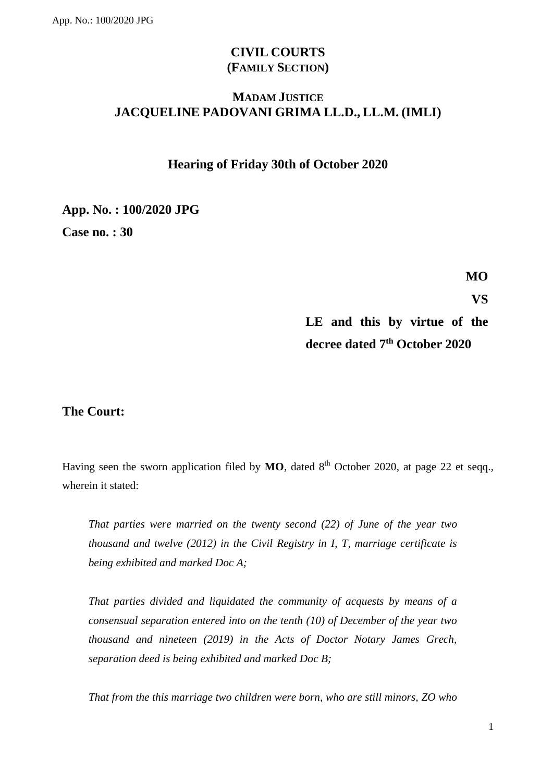# **CIVIL COURTS (FAMILY SECTION)**

## **MADAM JUSTICE JACQUELINE PADOVANI GRIMA LL.D., LL.M. (IMLI)**

## **Hearing of Friday 30th of October 2020**

### **App. No. : 100/2020 JPG**

**Case no. : 30**

**MO**

**VS**

# **LE and this by virtue of the decree dated 7th October 2020**

## **The Court:**

Having seen the sworn application filed by  $MO$ , dated  $8<sup>th</sup>$  October 2020, at page 22 et seqq., wherein it stated:

*That parties were married on the twenty second (22) of June of the year two thousand and twelve (2012) in the Civil Registry in I, T, marriage certificate is being exhibited and marked Doc A;*

*That parties divided and liquidated the community of acquests by means of a consensual separation entered into on the tenth (10) of December of the year two thousand and nineteen (2019) in the Acts of Doctor Notary James Grech, separation deed is being exhibited and marked Doc B;*

*That from the this marriage two children were born, who are still minors, ZO who*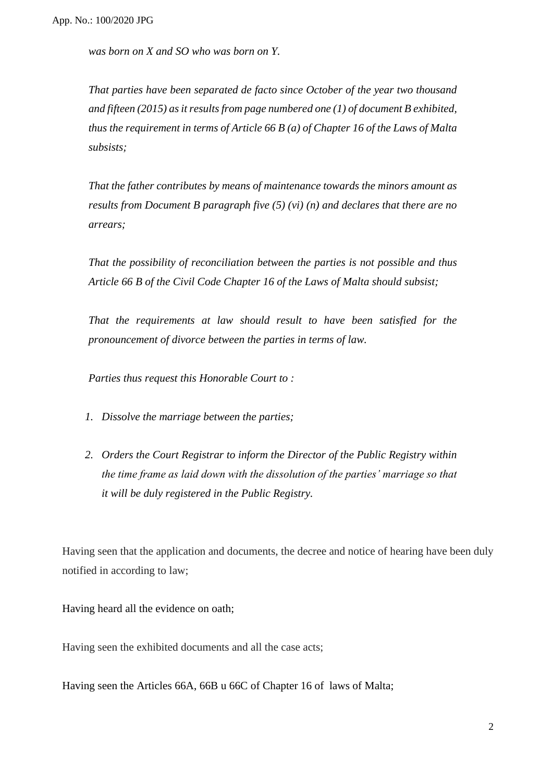*was born on X and SO who was born on Y.*

*That parties have been separated de facto since October of the year two thousand and fifteen (2015) as it results from page numbered one (1) of document B exhibited, thus the requirement in terms of Article 66 B (a) of Chapter 16 of the Laws of Malta subsists;*

*That the father contributes by means of maintenance towards the minors amount as results from Document B paragraph five (5) (vi) (n) and declares that there are no arrears;*

*That the possibility of reconciliation between the parties is not possible and thus Article 66 B of the Civil Code Chapter 16 of the Laws of Malta should subsist;*

*That the requirements at law should result to have been satisfied for the pronouncement of divorce between the parties in terms of law.*

*Parties thus request this Honorable Court to :* 

- *1. Dissolve the marriage between the parties;*
- *2. Orders the Court Registrar to inform the Director of the Public Registry within the time frame as laid down with the dissolution of the parties' marriage so that it will be duly registered in the Public Registry.*

Having seen that the application and documents, the decree and notice of hearing have been duly notified in according to law;

Having heard all the evidence on oath;

Having seen the exhibited documents and all the case acts;

Having seen the Articles 66A, 66B u 66C of Chapter 16 of laws of Malta;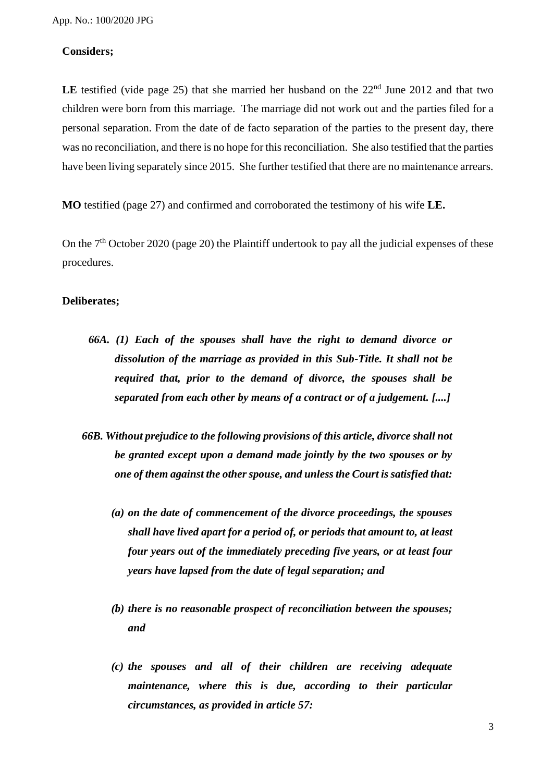### **Considers;**

**LE** testified (vide page 25) that she married her husband on the  $22<sup>nd</sup>$  June 2012 and that two children were born from this marriage. The marriage did not work out and the parties filed for a personal separation. From the date of de facto separation of the parties to the present day, there was no reconciliation, and there is no hope for this reconciliation. She also testified that the parties have been living separately since 2015. She further testified that there are no maintenance arrears.

**MO** testified (page 27) and confirmed and corroborated the testimony of his wife **LE.**

On the 7<sup>th</sup> October 2020 (page 20) the Plaintiff undertook to pay all the judicial expenses of these procedures.

#### **Deliberates;**

- *66A. (1) Each of the spouses shall have the right to demand divorce or dissolution of the marriage as provided in this Sub-Title. It shall not be required that, prior to the demand of divorce, the spouses shall be separated from each other by means of a contract or of a judgement. [....]*
- *66B. Without prejudice to the following provisions of this article, divorce shall not be granted except upon a demand made jointly by the two spouses or by one of them against the other spouse, and unless the Court is satisfied that:*
	- *(a) on the date of commencement of the divorce proceedings, the spouses shall have lived apart for a period of, or periods that amount to, at least four years out of the immediately preceding five years, or at least four years have lapsed from the date of legal separation; and*
	- *(b) there is no reasonable prospect of reconciliation between the spouses; and*
	- *(c) the spouses and all of their children are receiving adequate maintenance, where this is due, according to their particular circumstances, as provided in article 57:*